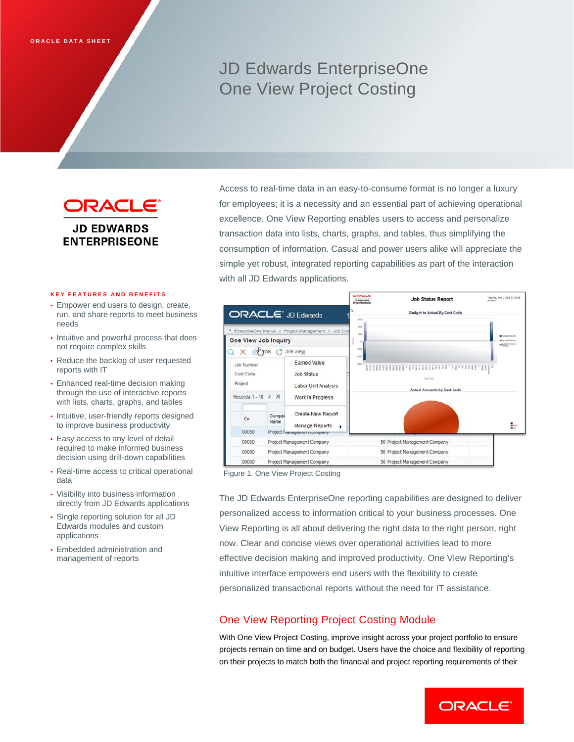# JD Edwards EnterpriseOne One View Project Costing

ORACLE® **JD EDWARDS ENTERPRISEONE** 

#### **KEY FEATURES AND BENEFITS**

- Empower end users to design, create, run, and share reports to meet business needs
- Intuitive and powerful process that does not require complex skills
- Reduce the backlog of user requested reports with IT
- Enhanced real-time decision making through the use of interactive reports with lists, charts, graphs, and tables
- Intuitive, user-friendly reports designed to improve business productivity
- Easy access to any level of detail required to make informed business decision using drill-down capabilities
- Real-time access to critical operational data
- Visibility into business information directly from JD Edwards applications
- Single reporting solution for all JD Edwards modules and custom applications
- Embedded administration and management of reports

Access to real-time data in an easy-to-consume format is no longer a luxury for employees; it is a necessity and an essential part of achieving operational excellence. One View Reporting enables users to access and personalize transaction data into lists, charts, graphs, and tables, thus simplifying the consumption of information. Casual and power users alike will appreciate the simple yet robust, integrated reporting capabilities as part of the interaction with all JD Edwards applications.



Figure 1. One View Project Costing

The JD Edwards EnterpriseOne reporting capabilities are designed to deliver personalized access to information critical to your business processes. One View Reporting is all about delivering the right data to the right person, right now. Clear and concise views over operational activities lead to more effective decision making and improved productivity. One View Reporting's intuitive interface empowers end users with the flexibility to create personalized transactional reports without the need for IT assistance.

## One View Reporting Project Costing Module

With One View Project Costing, improve insight across your project portfolio to ensure projects remain on time and on budget. Users have the choice and flexibility of reporting on their projects to match both the financial and project reporting requirements of their